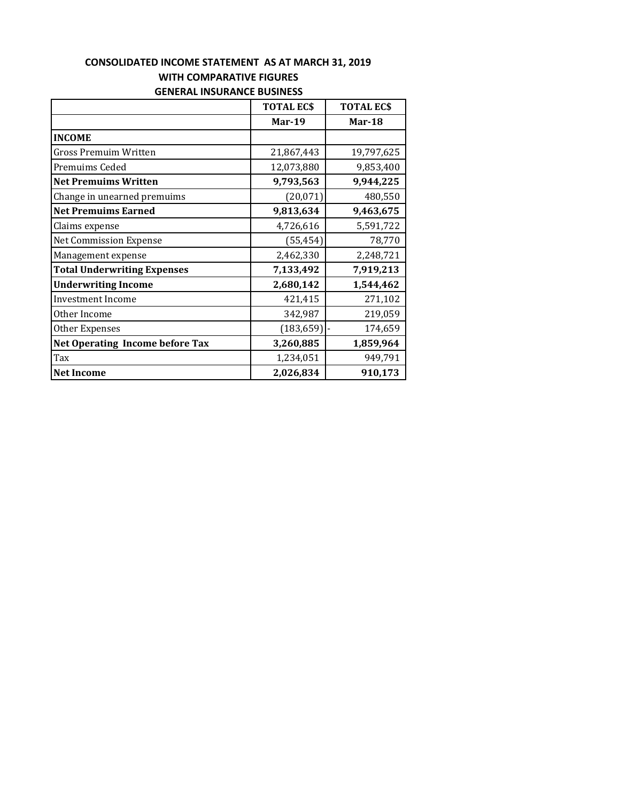## **CONSOLIDATED INCOME STATEMENT AS AT MARCH 31, 2019 WITH COMPARATIVE FIGURES GENERAL INSURANCE BUSINESS**

|                                        | <b>TOTAL ECS</b> | <b>TOTAL ECS</b> |
|----------------------------------------|------------------|------------------|
|                                        | <b>Mar-19</b>    | Mar-18           |
| <b>INCOME</b>                          |                  |                  |
| Gross Premuim Written                  | 21,867,443       | 19,797,625       |
| Premuims Ceded                         | 12,073,880       | 9,853,400        |
| <b>Net Premuims Written</b>            | 9,793,563        | 9,944,225        |
| Change in unearned premuims            | (20,071)         | 480,550          |
| <b>Net Premuims Earned</b>             | 9,813,634        | 9,463,675        |
| Claims expense                         | 4,726,616        | 5,591,722        |
| <b>Net Commission Expense</b>          | (55, 454)        | 78,770           |
| Management expense                     | 2,462,330        | 2,248,721        |
| <b>Total Underwriting Expenses</b>     | 7,133,492        | 7,919,213        |
| <b>Underwriting Income</b>             | 2,680,142        | 1,544,462        |
| <b>Investment Income</b>               | 421,415          | 271,102          |
| Other Income                           | 342,987          | 219,059          |
| Other Expenses                         | (183, 659)       | 174,659          |
| <b>Net Operating Income before Tax</b> | 3,260,885        | 1,859,964        |
| Tax                                    | 1,234,051        | 949,791          |
| <b>Net Income</b>                      | 2,026,834        | 910,173          |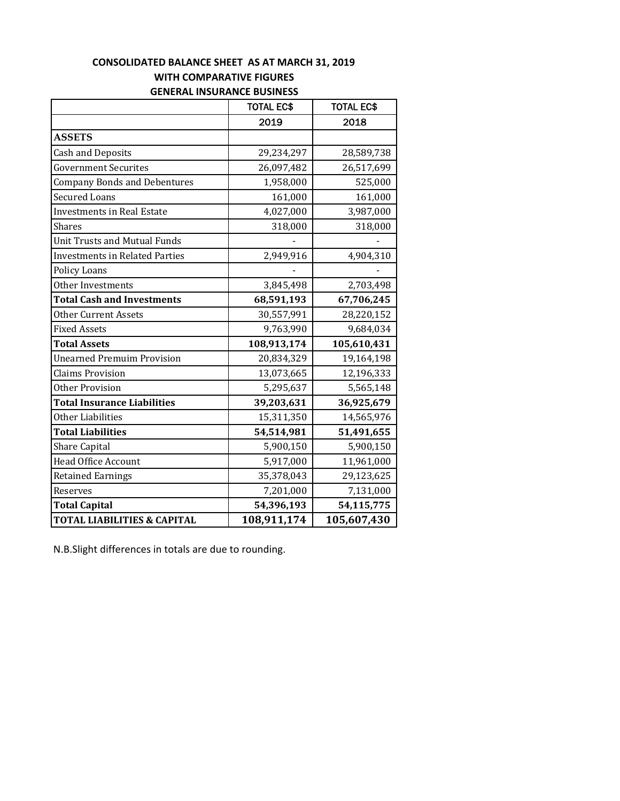### **CONSOLIDATED BALANCE SHEET AS AT MARCH 31, 2019 WITH COMPARATIVE FIGURES GENERAL INSURANCE BUSINESS**

|                                        | <b>TOTAL EC\$</b> | <b>TOTAL EC\$</b> |
|----------------------------------------|-------------------|-------------------|
|                                        | 2019              | 2018              |
| <b>ASSETS</b>                          |                   |                   |
| <b>Cash and Deposits</b>               | 29,234,297        | 28,589,738        |
| <b>Government Securites</b>            | 26,097,482        | 26,517,699        |
| <b>Company Bonds and Debentures</b>    | 1,958,000         | 525,000           |
| <b>Secured Loans</b>                   | 161,000           | 161,000           |
| <b>Investments in Real Estate</b>      | 4,027,000         | 3,987,000         |
| <b>Shares</b>                          | 318,000           | 318,000           |
| <b>Unit Trusts and Mutual Funds</b>    |                   |                   |
| <b>Investments in Related Parties</b>  | 2,949,916         | 4,904,310         |
| <b>Policy Loans</b>                    |                   |                   |
| Other Investments                      | 3,845,498         | 2,703,498         |
| <b>Total Cash and Investments</b>      | 68,591,193        | 67,706,245        |
| <b>Other Current Assets</b>            | 30,557,991        | 28,220,152        |
| <b>Fixed Assets</b>                    | 9,763,990         | 9,684,034         |
| <b>Total Assets</b>                    | 108,913,174       | 105,610,431       |
| <b>Unearned Premuim Provision</b>      | 20,834,329        | 19,164,198        |
| <b>Claims Provision</b>                | 13,073,665        | 12,196,333        |
| <b>Other Provision</b>                 | 5,295,637         | 5,565,148         |
| <b>Total Insurance Liabilities</b>     | 39,203,631        | 36,925,679        |
| Other Liabilities                      | 15,311,350        | 14,565,976        |
| <b>Total Liabilities</b>               | 54,514,981        | 51,491,655        |
| <b>Share Capital</b>                   | 5,900,150         | 5,900,150         |
| <b>Head Office Account</b>             | 5,917,000         | 11,961,000        |
| <b>Retained Earnings</b>               | 35,378,043        | 29,123,625        |
| Reserves                               | 7,201,000         | 7,131,000         |
| <b>Total Capital</b>                   | 54,396,193        | 54,115,775        |
| <b>TOTAL LIABILITIES &amp; CAPITAL</b> | 108,911,174       | 105,607,430       |

N.B.Slight differences in totals are due to rounding.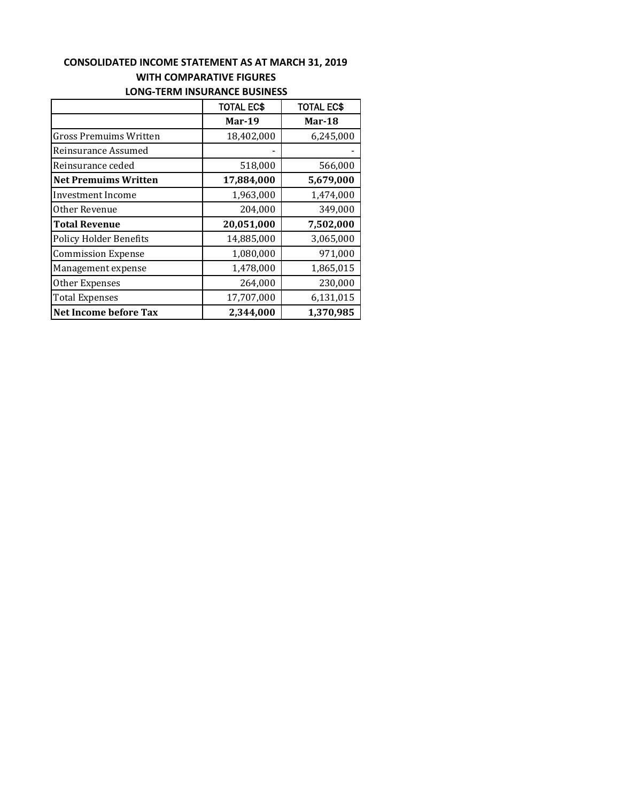### **CONSOLIDATED INCOME STATEMENT AS AT MARCH 31, 2019 WITH COMPARATIVE FIGURES LONG‐TERM INSURANCE BUSINESS**

|                               | <b>TOTAL EC\$</b> | <b>TOTAL EC\$</b> |  |
|-------------------------------|-------------------|-------------------|--|
|                               | <b>Mar-19</b>     | Mar-18            |  |
| Gross Premuims Written        | 18,402,000        | 6,245,000         |  |
| Reinsurance Assumed           |                   |                   |  |
| Reinsurance ceded             | 518,000           | 566,000           |  |
| <b>Net Premuims Written</b>   | 17,884,000        | 5,679,000         |  |
| Investment Income             | 1,963,000         | 1,474,000         |  |
| Other Revenue                 | 204,000           | 349,000           |  |
| <b>Total Revenue</b>          | 20,051,000        | 7,502,000         |  |
| <b>Policy Holder Benefits</b> | 14,885,000        | 3,065,000         |  |
| <b>Commission Expense</b>     | 1,080,000         | 971,000           |  |
| Management expense            | 1,478,000         | 1,865,015         |  |
| Other Expenses                | 264,000           | 230,000           |  |
| <b>Total Expenses</b>         | 17,707,000        | 6,131,015         |  |
| <b>Net Income before Tax</b>  | 2,344,000         | 1,370,985         |  |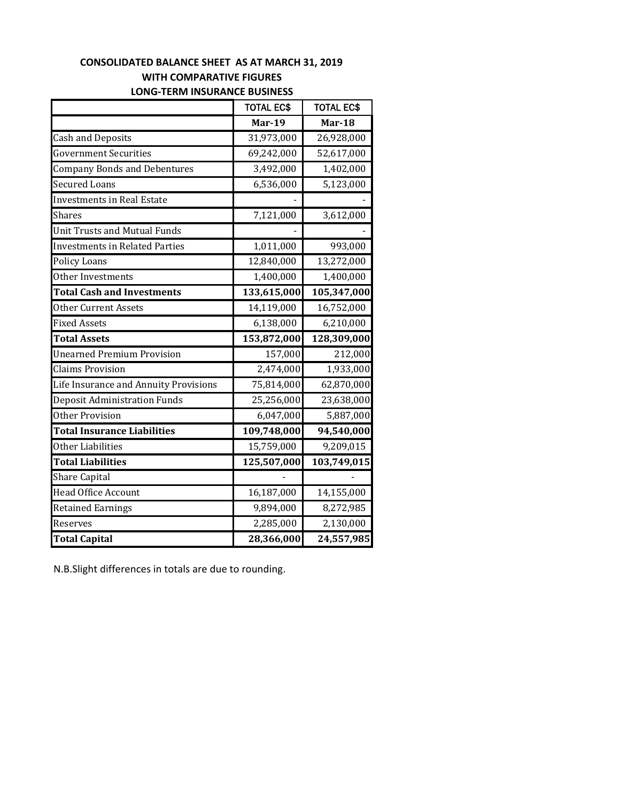# **CONSOLIDATED BALANCE SHEET AS AT MARCH 31, 2019 WITH COMPARATIVE FIGURES LONG‐TERM INSURANCE BUSINESS**

|                                       | <b>TOTAL EC\$</b> | <b>TOTAL EC\$</b> |
|---------------------------------------|-------------------|-------------------|
|                                       | <b>Mar-19</b>     | <b>Mar-18</b>     |
| <b>Cash and Deposits</b>              | 31,973,000        | 26,928,000        |
| <b>Government Securities</b>          | 69,242,000        | 52,617,000        |
| <b>Company Bonds and Debentures</b>   | 3,492,000         | 1,402,000         |
| <b>Secured Loans</b>                  | 6,536,000         | 5,123,000         |
| <b>Investments in Real Estate</b>     |                   |                   |
| Shares                                | 7,121,000         | 3,612,000         |
| <b>Unit Trusts and Mutual Funds</b>   |                   |                   |
| <b>Investments in Related Parties</b> | 1,011,000         | 993,000           |
| <b>Policy Loans</b>                   | 12,840,000        | 13,272,000        |
| Other Investments                     | 1,400,000         | 1,400,000         |
| <b>Total Cash and Investments</b>     | 133,615,000       | 105,347,000       |
| Other Current Assets                  | 14,119,000        | 16,752,000        |
| <b>Fixed Assets</b>                   | 6,138,000         | 6,210,000         |
| <b>Total Assets</b>                   | 153,872,000       | 128,309,000       |
| <b>Unearned Premium Provision</b>     | 157,000           | 212,000           |
| <b>Claims Provision</b>               | 2,474,000         | 1,933,000         |
| Life Insurance and Annuity Provisions | 75,814,000        | 62,870,000        |
| Deposit Administration Funds          | 25,256,000        | 23,638,000        |
| Other Provision                       | 6,047,000         | 5,887,000         |
| <b>Total Insurance Liabilities</b>    | 109,748,000       | 94,540,000        |
| Other Liabilities                     | 15,759,000        | 9,209,015         |
| <b>Total Liabilities</b>              | 125,507,000       | 103,749,015       |
| <b>Share Capital</b>                  |                   |                   |
| <b>Head Office Account</b>            | 16,187,000        | 14,155,000        |
| <b>Retained Earnings</b>              | 9,894,000         | 8,272,985         |
| Reserves                              | 2,285,000         | 2,130,000         |
| <b>Total Capital</b>                  | 28,366,000        | 24,557,985        |

N.B.Slight differences in totals are due to rounding.